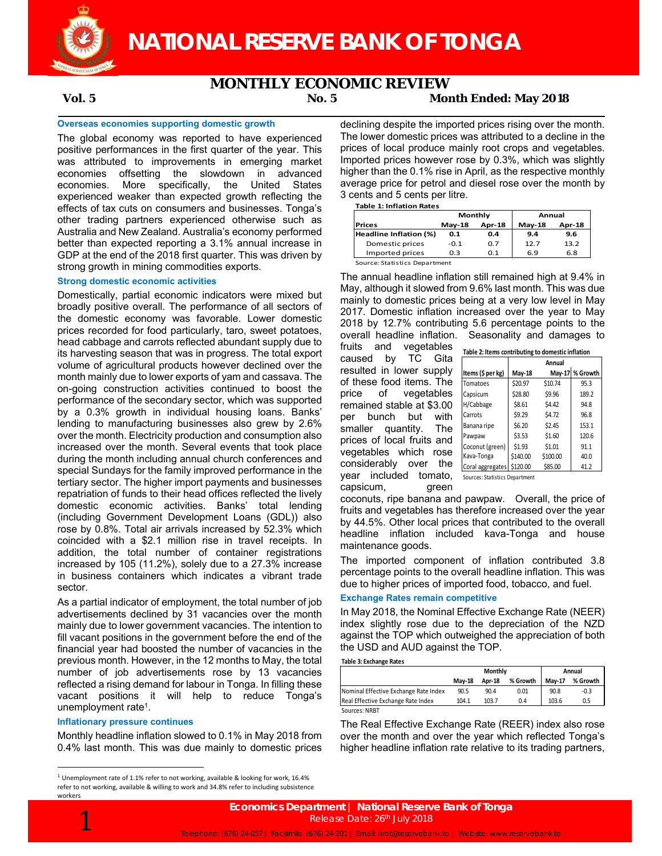

## **MONTHLY ECONOMIC REVIEW**

## **Vol. 5 No. 5 Month Ended: May 2018**

### **Overseas economies supporting domestic growth**

The global economy was reported to have experienced positive performances in the first quarter of the year. This was attributed to improvements in emerging market economies offsetting the slowdown in advanced economies. More specifically, the United States experienced weaker than expected growth reflecting the effects of tax cuts on consumers and businesses. Tonga's other trading partners experienced otherwise such as Australia and New Zealand. Australia's economy performed better than expected reporting a 3.1% annual increase in GDP at the end of the 2018 first quarter. This was driven by strong growth in mining commodities exports.

### **Strong domestic economic activities**

Domestically, partial economic indicators were mixed but broadly positive overall. The performance of all sectors of the domestic economy was favorable. Lower domestic prices recorded for food particularly, taro, sweet potatoes, head cabbage and carrots reflected abundant supply due to its harvesting season that was in progress. The total export volume of agricultural products however declined over the month mainly due to lower exports of yam and cassava. The on-going construction activities continued to boost the performance of the secondary sector, which was supported by a 0.3% growth in individual housing loans. Banks' lending to manufacturing businesses also grew by 2.6% over the month. Electricity production and consumption also increased over the month. Several events that took place during the month including annual church conferences and special Sundays for the family improved performance in the tertiary sector. The higher import payments and businesses repatriation of funds to their head offices reflected the lively domestic economic activities. Banks' total lending (including Government Development Loans (GDL)) also rose by 0.8%. Total air arrivals increased by 52.3% which coincided with a \$2.1 million rise in travel receipts. In addition, the total number of container registrations increased by 105 (11.2%), solely due to a 27.3% increase in business containers which indicates a vibrant trade sector.

As a partial indicator of employment, the total number of job advertisements declined by 31 vacancies over the month mainly due to lower government vacancies. The intention to fill vacant positions in the government before the end of the financial year had boosted the number of vacancies in the previous month. However, in the 12 months to May, the total number of job advertisements rose by 13 vacancies reflected a rising demand for labour in Tonga. In filling these vacant positions it will help to reduce Tonga's unemployment rate<sup>1</sup>.

#### **Inflationary pressure continues**

Monthly headline inflation slowed to 0.1% in May 2018 from 0.4% last month. This was due mainly to domestic prices declining despite the imported prices rising over the month. The lower domestic prices was attributed to a decline in the prices of local produce mainly root crops and vegetables. Imported prices however rose by 0.3%, which was slightly higher than the 0.1% rise in April, as the respective monthly average price for petrol and diesel rose over the month by 3 cents and 5 cents per litre.

**Table 1: Inflation Rates**

|                               | Monthly   |               | Annual   |               |  |
|-------------------------------|-----------|---------------|----------|---------------|--|
| <b>Prices</b>                 | $M$ ay-18 | <b>Apr-18</b> | $May-18$ | <b>Apr-18</b> |  |
| <b>Headline Inflation (%)</b> | 0.1       | 0.4           | 9.4      | 9.6           |  |
| Domestic prices               | $-0.1$    | 0.7           | 12.7     | 13.2          |  |
| Imported prices               | 0.3       | O 1           | 6.9      | 6.8           |  |
| Source: Statistics Department |           |               |          |               |  |

The annual headline inflation still remained high at 9.4% in May, although it slowed from 9.6% last month. This was due mainly to domestic prices being at a very low level in May 2017. Domestic inflation increased over the year to May 2018 by 12.7% contributing 5.6 percentage points to the overall headline inflation. Seasonality and damages to

fruits and vegetables **Table 2: Items contributing to domestic inflation** caused by TC Gita resulted in lower supply of these food items. The price of vegetables remained stable at \$3.00 per bunch but with smaller quantity. The prices of local fruits and vegetables which rose considerably over the year included tomato, Sources: Statistics Department capsicum, green

|                           | Table 2. Reflis continuum cu domestic innation |          |                 |  |  |  |  |
|---------------------------|------------------------------------------------|----------|-----------------|--|--|--|--|
|                           | Annual                                         |          |                 |  |  |  |  |
| Items (\$ per kg)         | May-18                                         |          | May-17 % Growth |  |  |  |  |
| Tomatoes                  | \$20.97                                        | \$10.74  | 95.3            |  |  |  |  |
| Capsicum                  | \$28.80                                        | \$9.96   | 189.2           |  |  |  |  |
| H/Cabbage                 | \$8.61                                         | \$4.42   | 94.8            |  |  |  |  |
| Carrots                   | \$9.29                                         | \$4.72   | 96.8            |  |  |  |  |
| Banana ripe               | \$6.20                                         | \$2.45   | 153.1           |  |  |  |  |
| Pawpaw                    | \$3.53                                         | \$1.60   | 120.6           |  |  |  |  |
| Coconut (green)           | \$1.93                                         | \$1.01   | 91.1            |  |  |  |  |
| Kava-Tonga                | \$140.00                                       | \$100.00 | 40.0            |  |  |  |  |
| Coral aggregates \$120.00 |                                                | \$85.00  | 41.2            |  |  |  |  |

coconuts, ripe banana and pawpaw. Overall, the price of fruits and vegetables has therefore increased over the year by 44.5%. Other local prices that contributed to the overall headline inflation included kava-Tonga and house maintenance goods.

The imported component of inflation contributed 3.8 percentage points to the overall headline inflation. This was due to higher prices of imported food, tobacco, and fuel.

## **Exchange Rates remain competitive**

In May 2018, the Nominal Effective Exchange Rate (NEER) index slightly rose due to the depreciation of the NZD against the TOP which outweighed the appreciation of both the USD and AUD against the TOP.

#### **Table 3: Exchange Rates**

|                                       |               | Monthly | Annual   |               |          |
|---------------------------------------|---------------|---------|----------|---------------|----------|
|                                       | <b>Mav-18</b> | Apr-18  | % Growth | <b>Mav-17</b> | % Growth |
| Nominal Effective Exchange Rate Index | 90.5          | 90.4    | 0.01     | 90.8          | $-0.3$   |
| Real Effective Exchange Rate Index    | 104.1         | 103.7   | 0.4      | 103.6         | 0.5      |
| Sources: NRBT                         |               |         |          |               |          |

The Real Effective Exchange Rate (REER) index also rose over the month and over the year which reflected Tonga's higher headline inflation rate relative to its trading partners,

 $^1$  Unemployment rate of 1.1% refer to not working, available & looking for work, 16.4% refer to not working, available & willing to work and 34.8% refer to including subsistence workers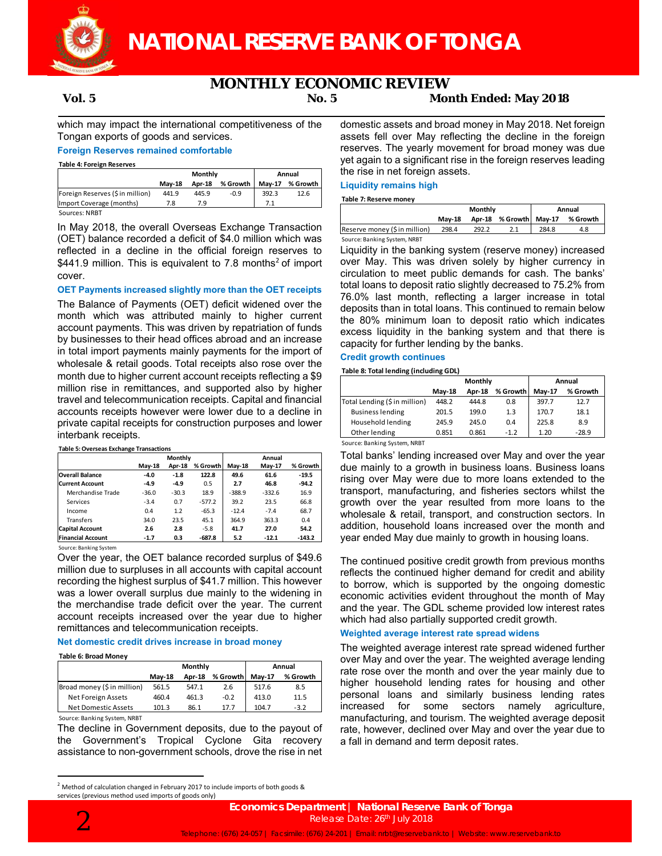

# **MONTHLY ECONOMIC REVIEW**

# **Vol. 5 No. 5 Month Ended: May 2018**

which may impact the international competitiveness of the Tongan exports of goods and services.

## **Foreign Reserves remained comfortable**

**Table 4: Foreign Reserves**

|                                  | Monthly       |        |          | Annual        |          |  |
|----------------------------------|---------------|--------|----------|---------------|----------|--|
|                                  | <b>Mav-18</b> | Apr-18 | % Growth | <b>Mav-17</b> | % Growth |  |
| Foreign Reserves (\$ in million) | 441.9         | 445.9  | $-0.9$   | 392.3         | 12.6     |  |
| Import Coverage (months)         | 7.8           | 7.9    |          |               |          |  |
| Sources: NRBT                    |               |        |          |               |          |  |

In May 2018, the overall Overseas Exchange Transaction (OET) balance recorded a deficit of \$4.0 million which was reflected in a decline in the official foreign reserves to \$441.9 million. This is equivalent to 7.8 months<sup>2</sup> of import cover.

## **OET Payments increased slightly more than the OET receipts**

The Balance of Payments (OET) deficit widened over the month which was attributed mainly to higher current account payments. This was driven by repatriation of funds by businesses to their head offices abroad and an increase in total import payments mainly payments for the import of wholesale & retail goods. Total receipts also rose over the month due to higher current account receipts reflecting a \$9 million rise in remittances, and supported also by higher travel and telecommunication receipts. Capital and financial accounts receipts however were lower due to a decline in private capital receipts for construction purposes and lower interbank receipts.

#### **Table 5: Overseas Exchange Transactions**

|                          | Monthly |         |          |          |          |          |
|--------------------------|---------|---------|----------|----------|----------|----------|
|                          | May-18  | Apr-18  | % Growth | May-18   | May-17   | % Growth |
| <b>Overall Balance</b>   | $-4.0$  | $-1.8$  | 122.8    | 49.6     | 61.6     | $-19.5$  |
| <b>Current Account</b>   | $-4.9$  | $-4.9$  | 0.5      | 2.7      | 46.8     | $-94.2$  |
| Merchandise Trade        | $-36.0$ | $-30.3$ | 18.9     | $-388.9$ | $-332.6$ | 16.9     |
| Services                 | $-3.4$  | 0.7     | $-577.2$ | 39.2     | 23.5     | 66.8     |
| Income                   | 0.4     | 1.2     | $-65.3$  | $-12.4$  | $-7.4$   | 68.7     |
| Transfers                | 34.0    | 23.5    | 45.1     | 364.9    | 363.3    | 0.4      |
| <b>Capital Account</b>   | 2.6     | 2.8     | $-5.8$   | 41.7     | 27.0     | 54.2     |
| <b>Financial Account</b> | $-1.7$  | 0.3     | $-687.8$ | 5.2      | $-12.1$  | $-143.2$ |

Source: Banking System

Over the year, the OET balance recorded surplus of \$49.6 million due to surpluses in all accounts with capital account recording the highest surplus of \$41.7 million. This however was a lower overall surplus due mainly to the widening in the merchandise trade deficit over the year. The current account receipts increased over the year due to higher remittances and telecommunication receipts.

### **Net domestic credit drives increase in broad money**

#### **Table 6: Broad Money**

|                              |          | Monthly | Annual   |               |          |
|------------------------------|----------|---------|----------|---------------|----------|
|                              | $May-18$ | Apr-18  | % Growth | <b>Mav-17</b> | % Growth |
| Broad money (\$ in million)  | 561.5    | 547.1   | 2.6      | 517.6         | 8.5      |
| Net Foreign Assets           | 460.4    | 461.3   | $-0.2$   | 413.0         | 11.5     |
| Net Domestic Assets          | 101.3    | 86.1    | 17.7     | 104.7         | $-3.2$   |
| Source: Banking System, NRBT |          |         |          |               |          |

The decline in Government deposits, due to the payout of the Government's Tropical Cyclone Gita recovery assistance to non-government schools, drove the rise in net domestic assets and broad money in May 2018. Net foreign assets fell over May reflecting the decline in the foreign reserves. The yearly movement for broad money was due yet again to a significant rise in the foreign reserves leading the rise in net foreign assets.

## **Liquidity remains high**

#### **Table 7: Reserve money**

|                               | Monthly       |       |  |       | Annual                          |
|-------------------------------|---------------|-------|--|-------|---------------------------------|
|                               | <b>Mav-18</b> |       |  |       | Apr-18 % Growth May-17 % Growth |
| Reserve money (\$ in million) | 298.4         | 292.2 |  | 284.8 | 4.8                             |
|                               |               |       |  |       |                                 |

#### Source: Banking System, NRBT

Liquidity in the banking system (reserve money) increased over May. This was driven solely by higher currency in circulation to meet public demands for cash. The banks' total loans to deposit ratio slightly decreased to 75.2% from 76.0% last month, reflecting a larger increase in total deposits than in total loans. This continued to remain below the 80% minimum loan to deposit ratio which indicates excess liquidity in the banking system and that there is capacity for further lending by the banks.

# **Credit growth continues**

#### **Table 8: Total lending (including GDL)**

|                               |               | Monthly       | Annual   |        |          |
|-------------------------------|---------------|---------------|----------|--------|----------|
|                               | <b>May-18</b> | <b>Apr-18</b> | % Growth | May-17 | % Growth |
| Total Lending (\$ in million) | 448.2         | 444.8         | 0.8      | 397.7  | 12.7     |
| <b>Business lending</b>       | 201.5         | 199.0         | 1.3      | 170.7  | 18.1     |
| Household lending             | 245.9         | 245.0         | 0.4      | 225.8  | 8.9      |
| Other lending                 | 0.851         | 0.861         | $-1.2$   | 1.20   | $-28.9$  |
| $C = 100T$                    |               |               |          |        |          |

Source: Banking System, NRBT

Total banks' lending increased over May and over the year due mainly to a growth in business loans. Business loans rising over May were due to more loans extended to the transport, manufacturing, and fisheries sectors whilst the growth over the year resulted from more loans to the wholesale & retail, transport, and construction sectors. In addition, household loans increased over the month and year ended May due mainly to growth in housing loans.

The continued positive credit growth from previous months reflects the continued higher demand for credit and ability to borrow, which is supported by the ongoing domestic economic activities evident throughout the month of May and the year. The GDL scheme provided low interest rates which had also partially supported credit growth.

### **Weighted average interest rate spread widens**

The weighted average interest rate spread widened further over May and over the year. The weighted average lending rate rose over the month and over the year mainly due to higher household lending rates for housing and other personal loans and similarly business lending rates increased for some sectors namely agriculture, manufacturing, and tourism. The weighted average deposit rate, however, declined over May and over the year due to a fall in demand and term deposit rates.





<sup>&</sup>lt;sup>2</sup> Method of calculation changed in February 2017 to include imports of both goods & services (previous method used imports of goods only)